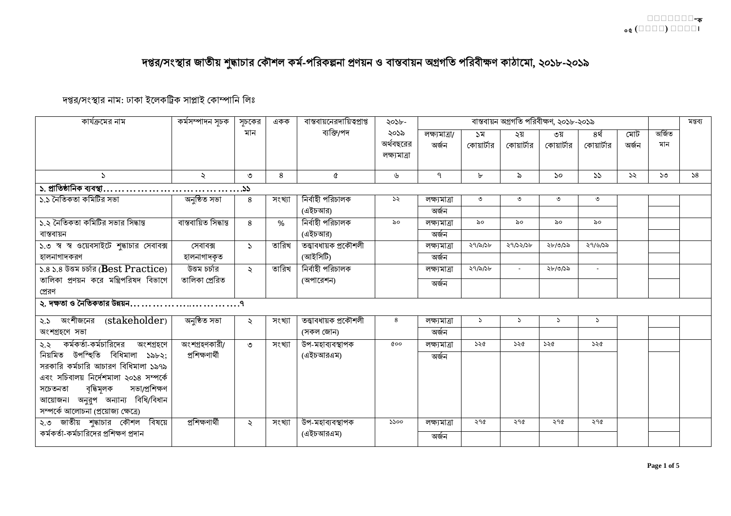## দপ্তর/সংস্থার জাতীয় শুদ্ধাচার কৌশল কর্ম-পরিকল্পনা প্রণয়ন ও বাস্তবায়ন অগ্রগতি পরিবীক্ষণ কাঠামো, ২০১৮-২০১৯

## দপ্তর/সংস্থার নাম: ঢাকা ইলেকট্রিক সাপ্লাই কোম্পানি লিঃ

| কার্যক্রমের নাম                                                              | কৰ্মসম্পাদন সূচক      | সচকের                | একক    | বাস্তবায়নেরদায়িত্বপ্রাপ্ত | ২০১৮-         |               |               |               | বাস্তবায়ন অগ্রগতি পরিবীক্ষণ, ২০১৮-২০১৯ |            |               |        | মন্তব্য |
|------------------------------------------------------------------------------|-----------------------|----------------------|--------|-----------------------------|---------------|---------------|---------------|---------------|-----------------------------------------|------------|---------------|--------|---------|
|                                                                              |                       | মান                  |        | ব্যক্তি/পদ                  | ২০১৯          | লক্ষ্যমাত্ৰা/ | ১ম            | ২য়           | ৩য়                                     | ৪র্থ       | মোট           | অৰ্জিত |         |
|                                                                              |                       |                      |        |                             | অর্থবছরের     | অৰ্জন         | কোয়ার্টার    | কোয়ার্টার    | কোয়ার্টার                              | কোয়ার্টার | অৰ্জন         | মান    |         |
|                                                                              |                       |                      |        |                             | লক্ষ্যমাত্ৰা  |               |               |               |                                         |            |               |        |         |
|                                                                              |                       |                      |        |                             |               |               |               |               |                                         |            |               |        |         |
| $\sum$                                                                       | $\ddot{\sim}$         | ৩                    | 8      | Q                           | ৬             | ঀ             | ৮             | $\delta$      | $\mathcal{S}^{\mathcal{O}}$             | 55         | $\mathcal{S}$ | ১৩     | 58      |
|                                                                              |                       |                      |        |                             |               |               |               |               |                                         |            |               |        |         |
| ১.১ নৈতিকতা কমিটির সভা                                                       | অনষ্ঠিত সভা           | 8                    | সংখ্যা | নিৰ্বাহী পরিচালক            | $\mathcal{S}$ | লক্ষ্যমাত্ৰা  | ৩             | ৩             | ৩                                       | ৩          |               |        |         |
|                                                                              |                       |                      |        | (এইচআর)                     |               | অৰ্জন         |               |               |                                         |            |               |        |         |
| ১.২ নৈতিকতা কমিটির সভার সিদ্ধান্ত                                            | বাস্তবায়িত সিদ্ধান্ত | 8                    | $\%$   | নিৰ্বাহী পরিচালক            | ৯০            | লক্ষ্যমাত্ৰা  | ৯০            | ৯০            | ৯০                                      | ৯০         |               |        |         |
| বাস্তবায়ন                                                                   |                       |                      |        | (এইচআর)                     |               | অৰ্জন         |               |               |                                         |            |               |        |         |
| ১.৩ স্ব স্ব ওয়েবসাইটে শুদ্ধাচার সেবাবক্স                                    | সেবাবক্স              | $\sum$               | তারিখ  | তত্ত্বাবধায়ক প্ৰকৌশলী      |               | লক্ষ্যমাত্ৰা  | ২৭/৯/১৮       | 29/22/26      | ২৮/৩/১৯                                 | ২৭/৬/১৯    |               |        |         |
| হালনাগাদকরণ                                                                  | হালনাগাদকৃত           |                      |        | (আইসিটি)                    |               | অৰ্জন         |               |               |                                         |            |               |        |         |
| ১.৪ ১.৪ উত্তম চর্চার (Best Practice)                                         | উত্তম চৰ্চার          | $\ddot{\sim}$        | তারিখ  | নিৰ্বাহী পরিচালক            |               | লক্ষ্যমাত্ৰা  | ২৭/৯/১৮       |               | ২৮/৩/১৯                                 | $\sim$     |               |        |         |
| তালিকা প্রণয়ন করে মন্ত্রিপরিষদ বিভাগে                                       | তালিকা প্ৰেরিত        |                      |        | (অপারেশন)                   |               | অৰ্জন         |               |               |                                         |            |               |        |         |
| প্রেরণ                                                                       |                       |                      |        |                             |               |               |               |               |                                         |            |               |        |         |
| ২. দক্ষতা ও নৈতিকতার উন্নয়ন $\dots\dots\dots\dots\dots\dots\dots\dots\dots$ |                       |                      |        |                             |               |               |               |               |                                         |            |               |        |         |
| ২.১ অংশীজনের (stakeholder)                                                   | অনুষ্ঠিত সভা          | $\ddot{\mathcal{L}}$ | সংখ্যা | তত্ত্বাবধায়ক প্ৰকৌশলী      | 8             | লক্ষমোত্ৰা    | $\mathcal{L}$ | $\mathcal{L}$ | $\mathcal{L}$                           | $\sum$     |               |        |         |
| অংশগ্ৰহণে সভা                                                                |                       |                      |        | (সকল জোন)                   |               | অৰ্জন         |               |               |                                         |            |               |        |         |
| ২.২ কর্মকর্তা-কর্মচারিদের<br>অংশগ্ৰহণে                                       | অংশগ্ৰহণকারী/         | ৩                    | সংখ্যা | উপ-মহাব্যবস্থাপক            | 000           | লক্ষ্যমাত্ৰা  | ১২৫           | 320           | ১২৫                                     | ১২৫        |               |        |         |
| নিয়মিত উপস্হিতি বিধিমালা ১৯৮২;                                              | প্ৰশিক্ষণাৰ্থী        |                      |        | (এইচআরএম)                   |               | অৰ্জন         |               |               |                                         |            |               |        |         |
| সরকারি কর্মচারি আচারণ বিধিমালা ১৯৭৯                                          |                       |                      |        |                             |               |               |               |               |                                         |            |               |        |         |
| এবং সচিবালয় নির্দেশমালা ২০১৪ সম্পর্কে                                       |                       |                      |        |                             |               |               |               |               |                                         |            |               |        |         |
| বৃদ্ধিমূলক<br>সভা/প্ৰশিক্ষণ<br>সচেতনতা                                       |                       |                      |        |                             |               |               |               |               |                                         |            |               |        |         |
| আয়োজন। অনুরুপ অন্যান্য বিধি/বিধান                                           |                       |                      |        |                             |               |               |               |               |                                         |            |               |        |         |
| সম্পর্কে আলোচনা (প্রয়োজ্য ক্ষেত্রে)                                         |                       |                      |        |                             |               |               |               |               |                                         |            |               |        |         |
| ২.৩ জাতীয় শুদ্ধাচার কৌশল বিষয়ে                                             | প্ৰশিক্ষণাৰ্থী        | ২                    | সংখ্যা | উপ-মহাব্যবস্থাপক            | 5500          | লক্ষ্যমাত্ৰা  | ২৭৫           | ২৭৫           | ২৭৫                                     | ২৭৫        |               |        |         |
| কর্মকর্তা-কর্মচারিদের প্রশিক্ষণ প্রদান                                       |                       |                      |        | (এইচআরএম)                   |               | অৰ্জন         |               |               |                                         |            |               |        |         |
|                                                                              |                       |                      |        |                             |               |               |               |               |                                         |            |               |        |         |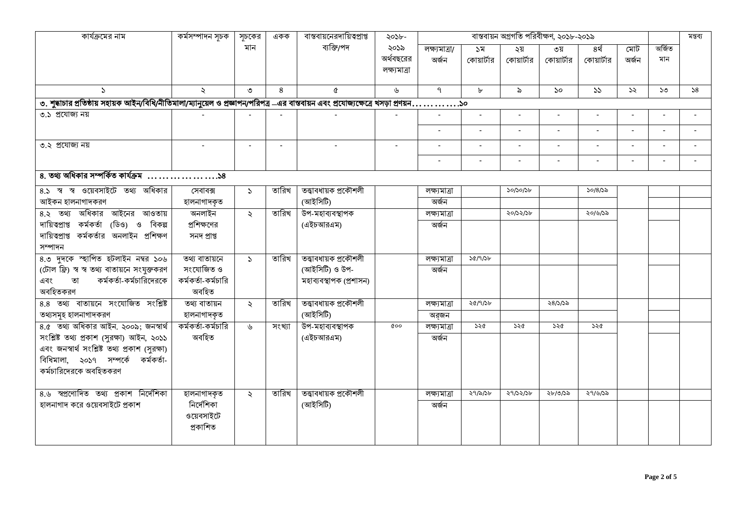| কার্যক্রমের নাম                                                                                                                       | কৰ্মসম্পাদন সূচক   | সূচকের               | একক    | বাস্তবায়নেরদায়িত্বপ্রাপ্ত | ২০১৮-                             |                        |                  |                   | বাস্তবায়ন অগ্রগতি পরিবীক্ষণ, ২০১৮-২০১৯ |                    |                |               | মন্তব্য |
|---------------------------------------------------------------------------------------------------------------------------------------|--------------------|----------------------|--------|-----------------------------|-----------------------------------|------------------------|------------------|-------------------|-----------------------------------------|--------------------|----------------|---------------|---------|
|                                                                                                                                       |                    | মান                  |        | ব্যক্তি/পদ                  | ২০১৯<br>অর্থবছরের<br>লক্ষ্যমাত্ৰা | লক্ষ্যমাত্ৰা/<br>অৰ্জন | ১ম<br>কোয়ার্টার | ২য়<br>কোয়ার্টার | ৩য়<br>কোয়ার্টার                       | ৪র্থ<br>কোয়ার্টার | মোট<br>অৰ্জন   | অৰ্জিত<br>মান |         |
| $\Delta$                                                                                                                              |                    | ৩                    | 8      | Q                           | ৬                                 | $\mathsf{P}$           | $\mathbf{r}$     | $\delta$          | $\mathcal{S}^{\mathcal{O}}$             | 55                 | $\mathcal{Z}$  | ১৩            | 58      |
| ৩. শুদ্ধাচার প্রতিষ্ঠায় সহায়ক আইন/বিধি/নীতিমালা/ম্যানুয়েল ও প্রজ্ঞাপন/পরিপত্র –এর বান্তবায়ন এবং প্রযোজ্ঞাক্ষেত্রে খসড়া প্রণয়ন১০ |                    |                      |        |                             |                                   |                        |                  |                   |                                         |                    |                |               |         |
| ৩.১ প্রযোজ্য নয়                                                                                                                      |                    |                      |        |                             |                                   |                        |                  |                   |                                         | $\sim$             |                |               |         |
|                                                                                                                                       |                    |                      |        |                             |                                   | $\sim$                 | $\blacksquare$   | $\blacksquare$    |                                         | $\sim$             | $\blacksquare$ |               | $\sim$  |
| ৩.২ প্রযোজ্য নয়                                                                                                                      |                    |                      |        |                             |                                   |                        |                  |                   |                                         | $\blacksquare$     |                |               |         |
|                                                                                                                                       |                    |                      |        |                             |                                   | $\sim$                 | $\sim$           | $\blacksquare$    |                                         | $\sim$             | $\sim$         |               |         |
|                                                                                                                                       |                    |                      |        |                             |                                   |                        |                  |                   |                                         |                    |                |               |         |
| 8.১ স্ব স্ব ওয়েবসাইটে তথ্য অধিকার                                                                                                    | সেবাবক্স           | $\mathcal{L}$        | তারিখ  | তত্ত্বাবধায়ক প্ৰকৌশলী      |                                   | লক্ষ্যমাত্ৰা           |                  | 50/50/56          |                                         | ১০/৪/১৯            |                |               |         |
| আইকন হালনাগাদকরণ                                                                                                                      | হালনাগাদকৃত        |                      |        | (আইসিটি)                    |                                   | অৰ্জন                  |                  |                   |                                         |                    |                |               |         |
| ৪.২ তথ্য অধিকার আইনের আওতায়                                                                                                          | অনলাইন             | $\ddot{\sim}$        | তারিখ  | উপ-মহাব্যবস্থাপক            |                                   | লক্ষ্যমাত্ৰা           |                  | ২০/১২/১৮          |                                         | ২০/৬/১৯            |                |               |         |
| দায়িত্বপ্ৰাপ্ত কৰ্মকৰ্তা (ডিও) ও<br>বিকল্প                                                                                           | প্রশিক্ষণের        |                      |        | (এইচআরএম)                   |                                   | অৰ্জন                  |                  |                   |                                         |                    |                |               |         |
| দায়িত্বপ্রাপ্ত কর্মকর্তার অনলাইন প্রশিক্ষণ                                                                                           | সনদ প্ৰাপ্ত        |                      |        |                             |                                   |                        |                  |                   |                                         |                    |                |               |         |
| সম্পাদন                                                                                                                               |                    |                      |        |                             |                                   |                        |                  |                   |                                         |                    |                |               |         |
| ৪.৩ দুদকে স্হাপিত হটলাইন নম্বর ১০৬                                                                                                    | তথ্য বাতায়নে      | $\sum$               | তারিখ  | তত্ত্বাবধায়ক প্ৰকৌশলী      |                                   | লক্ষ্যমাত্ৰা           | 30/9/36          |                   |                                         |                    |                |               |         |
| (টোল ফ্রি) স্ব স্ব তথ্য বাতায়নে সংযুক্তকরণ                                                                                           | সংযোজিত ও          |                      |        | (আইসিটি) ও উপ-              |                                   | অৰ্জন                  |                  |                   |                                         |                    |                |               |         |
| কর্মকর্তা-কর্মচারিদেরকে<br>তা<br>এবং                                                                                                  | কর্মকর্তা-কর্মচারি |                      |        | মহাব্যবস্থাপক (প্ৰশাসন)     |                                   |                        |                  |                   |                                         |                    |                |               |         |
| অবহিতকরণ                                                                                                                              | অবহিত              |                      |        |                             |                                   |                        |                  |                   |                                         |                    |                |               |         |
| 8.8 তথ্য বাতায়নে সংযোজিত সংশ্লিষ্ট                                                                                                   | তথ্য বাতায়ন       | $\ddot{\mathcal{L}}$ | তারিখ  | তত্ত্বাবধায়ক প্ৰকৌশলী      |                                   | লক্ষ্যমাত্ৰা           | ২৫/৭/১৮          |                   | ২৪/১/১৯                                 |                    |                |               |         |
| তথ্যসমূহ হালনাগাদকরণ                                                                                                                  | হালনাগাদকৃত        |                      |        | (আইসিটি)                    |                                   | অর্জন                  |                  |                   |                                         |                    |                |               |         |
| ৪.৫ তথ্য অধিকার আইন. ২০০৯; জনস্বার্থ                                                                                                  | কর্মকর্তা-কর্মচারি | ৬                    | সংখ্যা | উপ-মহাব্যবস্থাপক            | 000                               | লক্ষ্যমাত্ৰা           | ১২৫              | ১২৫               | ১২৫                                     | ১২৫                |                |               |         |
| সংশ্লিষ্ট তথ্য প্ৰকাশ (সুরক্ষা) আইন, ২০১১                                                                                             | অবহিত              |                      |        | (এইচআরএম)                   |                                   | অৰ্জন                  |                  |                   |                                         |                    |                |               |         |
| এবং জনস্বার্থ সংশ্লিষ্ট তথ্য প্রকাশ (সুরক্ষা)                                                                                         |                    |                      |        |                             |                                   |                        |                  |                   |                                         |                    |                |               |         |
| বিধিমালা, ২০১৭ সম্পর্কে কর্মকর্তা-                                                                                                    |                    |                      |        |                             |                                   |                        |                  |                   |                                         |                    |                |               |         |
| কর্মচারিদেরকে অবহিতকরণ                                                                                                                |                    |                      |        |                             |                                   |                        |                  |                   |                                         |                    |                |               |         |
|                                                                                                                                       |                    |                      |        |                             |                                   |                        |                  |                   |                                         |                    |                |               |         |
| ৪.৬ স্বপ্রণোদিত তথ্য প্রকাশ নির্দেশিকা                                                                                                | হালনাগাদকৃত        | $\ddot{\mathcal{L}}$ | তারিখ  | তত্ত্বাবধায়ক প্ৰকৌশলী      |                                   | লক্ষ্যমাত্ৰা           | ২৭/৯/১৮          | ২৭/১২/১৮          | ২৮/৩/১৯                                 | ২৭/৬/১৯            |                |               |         |
| হালনাগাদ করে ওয়েবসাইটে প্রকাশ                                                                                                        | নিৰ্দেশিকা         |                      |        | (আইসিটি)                    |                                   | অৰ্জন                  |                  |                   |                                         |                    |                |               |         |
|                                                                                                                                       | ওয়েবসাইটে         |                      |        |                             |                                   |                        |                  |                   |                                         |                    |                |               |         |
|                                                                                                                                       | প্ৰকাশিত           |                      |        |                             |                                   |                        |                  |                   |                                         |                    |                |               |         |
|                                                                                                                                       |                    |                      |        |                             |                                   |                        |                  |                   |                                         |                    |                |               |         |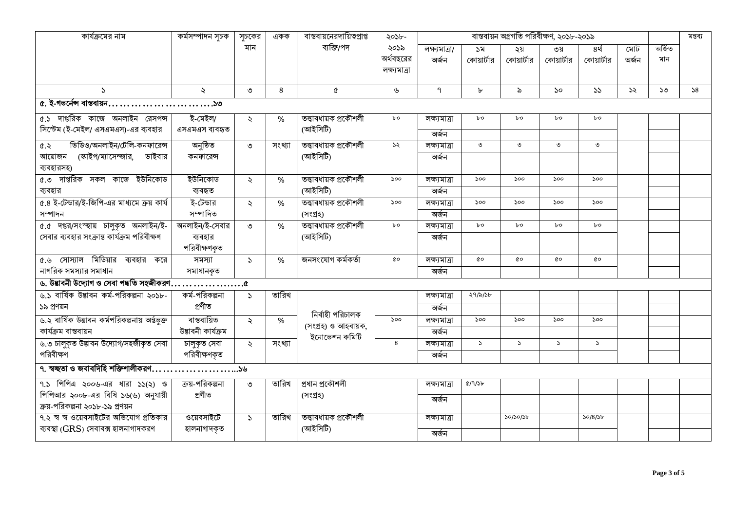| কার্যক্রমের নাম                                                           | কৰ্মসম্পাদন সূচক   | সচকের                | একক    | বাস্তবায়নেরদায়িত্বপ্রাপ্ত          | ২০১৮-                     |               |               | মন্তব্য       |                             |               |               |        |    |
|---------------------------------------------------------------------------|--------------------|----------------------|--------|--------------------------------------|---------------------------|---------------|---------------|---------------|-----------------------------|---------------|---------------|--------|----|
|                                                                           |                    | মান                  |        | ব্যক্তি/পদ                           | ২০১৯                      | লক্ষ্যমাত্ৰা/ | ১ম            | ২য়           | ৩য়                         | ৪র্থ          | মোট           | অৰ্জিত |    |
|                                                                           |                    |                      |        |                                      | অর্থবছরের<br>লক্ষ্যমাত্ৰা | অৰ্জন         | কোয়ার্টার    | কোয়ার্টার    | কোয়ার্টার                  | কোয়ার্টার    | অৰ্জন         | মান    |    |
|                                                                           |                    |                      |        |                                      |                           |               |               |               |                             |               |               |        |    |
| $\Delta$                                                                  | $\ddot{\sim}$      | ৩                    | 8      | Q                                    | ৬                         | $\mathcal{P}$ | $\mathbf{b}$  | ৯             | $\mathcal{S}^{\mathcal{O}}$ | 55            | $\mathcal{S}$ | ১৩     | 58 |
| ৫. ই-গভর্নেন্স বাস্তবায়ন১৩                                               |                    |                      |        |                                      |                           |               |               |               |                             |               |               |        |    |
| ৫.১ দাপ্তরিক কাজে অনলাইন রেসপন্স                                          | ই-মেইল/            | $\ddot{\mathcal{L}}$ | %      | তত্ত্বাবধায়ক প্ৰকৌশলী               | ৮০                        | লক্ষ্যমাত্ৰা  | bo            | bо            | bo                          | bo            |               |        |    |
| সিস্টেম (ই-মেইল/ এসএমএস)-এর ব্যবহার                                       | এসএমএস ব্যবহৃত     |                      |        | (আইসিটি)                             |                           | অৰ্জন         |               |               |                             |               |               |        |    |
| ভিডিও/অনলাইন/টেলি-কনফারেন্স<br>6.5                                        | অনুষ্ঠিত           | ৩                    | সংখ্যা | তত্ত্বাবধায়ক প্ৰকৌশলী               | ১২                        | লক্ষ্যমাত্ৰা  | ৩             | $\circ$       | $\circ$                     | $\circ$       |               |        |    |
| (স্কাইপ/ম্যাসেন্জার, ভাইবার<br>আয়োজন                                     | কনফারেন্স          |                      |        | (আইসিটি)                             |                           | অৰ্জন         |               |               |                             |               |               |        |    |
| ব্যবহারসহ)                                                                |                    |                      |        |                                      |                           |               |               |               |                             |               |               |        |    |
| ৫.৩ দাপ্তরিক সকল কাজে ইউনিকোড                                             | ইউনিকোড            | $\ddot{\sim}$        | %      | তত্ত্বাবধায়ক প্ৰকৌশলী               | 500                       | লক্ষ্যমাত্ৰা  | 500           | 500           | 500                         | 500           |               |        |    |
| ব্যবহার                                                                   | ব্যবহৃত            |                      |        | (আইসিটি)                             |                           | অৰ্জন         |               |               |                             |               |               |        |    |
| ৫.৪ ই-টেন্ডার/ই-জিপি-এর মাধ্যমে ক্রয় কার্য                               | ই-টেন্ডার          | $\ddot{\mathbf{z}}$  | $\%$   | তত্ত্বাবধায়ক প্ৰকৌশলী               | 500                       | লক্ষ্যমাত্ৰা  | 500           | 500           | 500                         | 500           |               |        |    |
| সম্পাদন                                                                   | সম্পাদিত           |                      |        | (সংগ্ৰহ)                             |                           | অৰ্জন         |               |               |                             |               |               |        |    |
| ৫.৫ দপ্তর/সংস্হায় চালুকৃত অনলাইন/ই-                                      | অনলাইন/ই-সেবার     | ৩                    | $\%$   | তত্ত্বাবধায়ক প্ৰকৌশলী               | bo                        | লক্ষ্যমাত্ৰা  | $b$ o         | $b$ o         | bo                          | bo            |               |        |    |
| সেবার ব্যবহার সংক্রান্ত কার্যক্রম পরিবীক্ষণ                               | ব্যবহার            |                      |        | (আইসিটি)                             |                           | অৰ্জন         |               |               |                             |               |               |        |    |
|                                                                           | পরিবীক্ষণকৃত       |                      |        |                                      |                           |               |               |               |                             |               |               |        |    |
| ৫.৬ সোস্যাল মিডিয়ার ব্যবহার করে                                          | সমস্যা             | $\mathcal{L}$        | %      | জনসংযোগ কৰ্মকৰ্তা                    | QΟ                        | লক্ষ্যমাত্ৰা  | QO            | đο            | QO                          | αo            |               |        |    |
| নাগরিক সমস্যার সমাধান                                                     | সমাধানকৃত          |                      |        |                                      |                           | অৰ্জন         |               |               |                             |               |               |        |    |
| ৬. উদ্ভাবনী উদ্যোগ ও সেবা পদ্ধতি সহজীকরণ $\dots\dots\dots\dots\dots\dots$ |                    |                      |        |                                      |                           |               |               |               |                             |               |               |        |    |
| ৬.১ বার্ষিক উদ্ভাবন কর্ম-পরিকল্পনা ২০১৮-                                  | কৰ্ম-পরিকল্পনা     | $\mathcal{L}$        | তারিখ  |                                      |                           | লক্ষ্যমাত্ৰা  | ২৭/৯/১৮       |               |                             |               |               |        |    |
| ১৯ প্রণয়ন                                                                | প্ৰণীত             |                      |        |                                      |                           | অৰ্জন         |               |               |                             |               |               |        |    |
| ৬.২ বার্ষিক উদ্ভাবন কর্মপরিকল্পনায় অর্ন্তভুক্ত                           | বাস্তবায়িত        | $\ddot{\sim}$        | $\%$   | নিৰ্বাহী পরিচালক                     | 500                       | লক্ষ্যমাত্ৰা  | 500           | 500           | 500                         | 500           |               |        |    |
| কাৰ্যক্ৰম বাস্তবায়ন                                                      | উদ্ভাবনী কাৰ্যক্ৰম |                      |        | (সংগ্ৰহ) ও আহবায়ক,<br>ইনোভেশন কমিটি |                           | অৰ্জন         |               |               |                             |               |               |        |    |
| ৬.৩ চালুকৃত উদ্ভাবন উদ্যোগ/সহজীকৃত সেবা                                   | চালুকত সেবা        | $\ddot{\sim}$        | সংখ্যা |                                      | 8                         | লক্ষ্যমাত্ৰা  | $\mathcal{L}$ | $\mathcal{L}$ | $\mathcal{L}$               | $\mathcal{L}$ |               |        |    |
| পরিবীক্ষণ                                                                 | পরিবীক্ষণকৃত       |                      |        |                                      |                           | অৰ্জন         |               |               |                             |               |               |        |    |
| ৭. স্বচ্ছতা ও জবাবদিহি শক্তিশালীকরণ১৬                                     |                    |                      |        |                                      |                           |               |               |               |                             |               |               |        |    |
| $9.5$ পিপিএ ২০০৬-এর ধারা ১১(২) ও                                          | ক্রয়-পরিকল্পনা    | ৩                    | তারিখ  | প্ৰধান প্ৰকৌশলী                      |                           | লক্ষ্যমাত্ৰা  | Q/9/5b        |               |                             |               |               |        |    |
| পিপিআর ২০০৮-এর বিধি ১৬(৬) অনুযায়ী                                        | প্ৰণীত             |                      |        | (সংগ্ৰহ)                             |                           | অৰ্জন         |               |               |                             |               |               |        |    |
| ক্রয়-পরিকল্পনা ২০১৮-১৯ প্রণয়ন                                           |                    |                      |        |                                      |                           |               |               |               |                             |               |               |        |    |
| ৭.২ স্ব স্ব ওয়েবসাইটের অভিযোগ প্রতিকার                                   | ওয়েবসাইটে         | $\mathcal{L}$        | তারিখ  | তত্ত্বাবধায়ক প্ৰকৌশলী               |                           | লক্ষ্যমাত্ৰা  |               | 50/50/56      |                             | 50/8/56       |               |        |    |
| ব্যবস্থা (GRS) সেবাবক্স হালনাগাদকরণ                                       | হালনাগাদকৃত        |                      |        | (আইসিটি)                             |                           | অৰ্জন         |               |               |                             |               |               |        |    |
|                                                                           |                    |                      |        |                                      |                           |               |               |               |                             |               |               |        |    |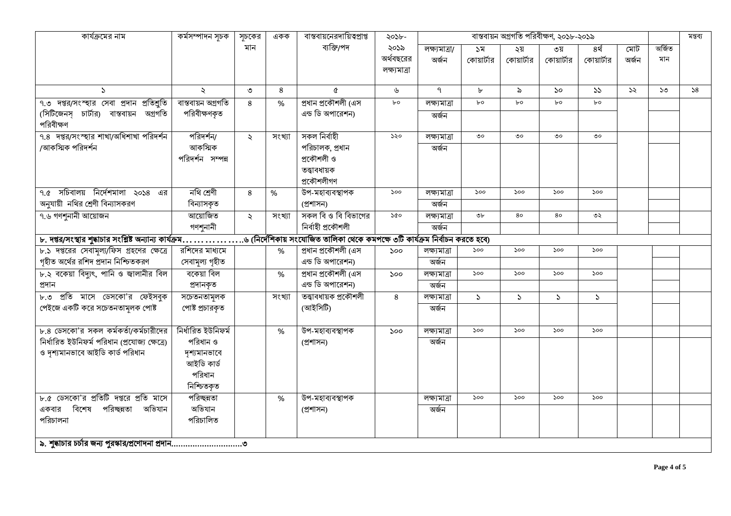| কার্যক্রমের নাম                               | কৰ্মসম্পাদন সূচক                                                                                                                        | সূচকের               | একক    | বাস্তবায়নেরদায়িত্বপ্রাপ্ত | ২০১৮-        | বাস্তবায়ন অগ্রগতি পরিবীক্ষণ, ২০১৮-২০১৯ |               |            |                       |               |       |        |    |  |
|-----------------------------------------------|-----------------------------------------------------------------------------------------------------------------------------------------|----------------------|--------|-----------------------------|--------------|-----------------------------------------|---------------|------------|-----------------------|---------------|-------|--------|----|--|
|                                               |                                                                                                                                         | মান                  |        | ব্যক্তি/পদ                  | ২০১৯         | লক্ষ্যমাত্ৰা/                           | ১ম            | ২য়        | ৩য়                   | ৪র্থ          | মোট   | অৰ্জিত |    |  |
|                                               |                                                                                                                                         |                      |        |                             | অর্থবছরের    | অৰ্জন                                   | কোয়ার্টার    | কোয়ার্টার | কোয়ার্টার            | কোয়ার্টার    | অৰ্জন | মান    |    |  |
|                                               |                                                                                                                                         |                      |        |                             | লক্ষ্যমাত্ৰা |                                         |               |            |                       |               |       |        |    |  |
| $\Delta$                                      | $\ddot{\phantom{0}}$                                                                                                                    | ৩                    | 8      | Q                           | ৬            | $\mathsf{P}$                            | $\mathbf{b}$  | ৯          | $\mathcal{S}^{\circ}$ | 55            | ১২    | ১৩     | 58 |  |
| ৭.৩ দপ্তর/সংস্হার সেবা প্রদান প্রতিশুতি       | বান্তবায়ন অগ্ৰগতি                                                                                                                      | 8                    | $\%$   | প্রধান প্রকৌশলী (এস         | bo           | লক্ষ্যমাত্ৰা                            | bo            | $b$ o      | $b$ o                 | $b^o$         |       |        |    |  |
| (সিটিজেনস় চার্টার) বাস্তবায়ন অগ্রগতি        | পরিবীক্ষণকৃত                                                                                                                            |                      |        | এন্ড ডি অপারেশন)            |              | অৰ্জন                                   |               |            |                       |               |       |        |    |  |
| পরিবীক্ষণ                                     |                                                                                                                                         |                      |        |                             |              |                                         |               |            |                       |               |       |        |    |  |
| ৭.৪ দপ্তর/সংস্হার শাখা/অধিশাখা পরিদর্শন       | পরিদর্শন/                                                                                                                               | ২                    | সংখ্যা | সকল নিৰ্বাহী                | ১২০          | লক্ষ্যমাত্ৰা                            | ৩০            | ৩০         | O                     | ৩০            |       |        |    |  |
| /আকস্মিক পরিদর্শন                             | আকস্মিক                                                                                                                                 |                      |        | পরিচালক, প্রধান             |              | অৰ্জন                                   |               |            |                       |               |       |        |    |  |
|                                               | পরিদর্শন সম্পন্ন                                                                                                                        |                      |        | প্রকৌশলী ও                  |              |                                         |               |            |                       |               |       |        |    |  |
|                                               |                                                                                                                                         |                      |        | তত্ত্বাবধায়ক               |              |                                         |               |            |                       |               |       |        |    |  |
|                                               |                                                                                                                                         |                      |        | প্ৰকৌশলীগণ                  |              |                                         |               |            |                       |               |       |        |    |  |
| সচিবালয় নির্দেশমালা ২০১৪<br>এর<br><u>ዓ.৫</u> | নথি শ্ৰেণী                                                                                                                              | 8                    | %      | উপ-মহাব্যবস্থাপক            | 500          | লক্ষ্যমাত্ৰা                            | 500           | 500        | 500                   | 500           |       |        |    |  |
| অনুযায়ী নথির শ্রেণী বিন্যাসকরণ               | বিন্যাসকৃত                                                                                                                              |                      |        | (প্ৰশাসন)                   |              | অৰ্জন                                   |               |            |                       |               |       |        |    |  |
| ৭.৬ গণশুনানী আয়োজন                           | আয়োজিত                                                                                                                                 | $\ddot{\mathcal{L}}$ | সংখ্যা | সকল বি ও বি বিভাগের         | 500          | লক্ষ্যমাত্ৰা                            | ৩৮            | 80         | 80                    | ৩২            |       |        |    |  |
|                                               | গণশুনানী                                                                                                                                |                      |        | নিৰ্বাহী প্ৰকৌশলী           |              | অৰ্জন                                   |               |            |                       |               |       |        |    |  |
|                                               | ৬ (নির্দেশিকায় সংযোজিত তালিকা থেকে কমপক্ষে ৩টি কার্যক্রম নির্বাচন করতে হবে)<br>৮. দপ্তর/সংস্থার শুদ্ধাচার সংশ্লিষ্ট অন্যান্য কার্যক্রম |                      |        |                             |              |                                         |               |            |                       |               |       |        |    |  |
| ৮.১ দপ্তরের সেবামূল্য/ফিস গ্রহণের ক্ষেত্রে    | রশিদের মাধ্যমে                                                                                                                          |                      | $\%$   | প্ৰধান প্ৰকৌশলী (এস         | 500          | লক্ষ্যমাত্ৰা                            | ১০০           | 500        | 500                   | 500           |       |        |    |  |
| গৃহীত অর্থের রশিদ প্রদান নিশ্চিতকরণ           | সেবামূল্য গৃহীত                                                                                                                         |                      |        | এন্ড ডি অপারেশন)            |              | অৰ্জন                                   |               |            |                       |               |       |        |    |  |
| ৮.২ বকেয়া বিদ্যুৎ, পানি ও জ্বালানীর বিল      | বকেয়া বিল                                                                                                                              |                      | %      | প্রধান প্রকৌশলী (এস         | 500          | লক্ষ্যমাত্ৰা                            | 500           | 500        | 500                   | 500           |       |        |    |  |
| প্ৰদান                                        | প্ৰদানকৃত                                                                                                                               |                      |        | এন্ড ডি অপারেশন)            |              | অৰ্জন                                   |               |            |                       |               |       |        |    |  |
| ৮.৩ প্রতি মাসে ডেসকো'র ফেইসবুক                | সচেতনতামূলক                                                                                                                             |                      | সংখ্যা | তত্ত্বাবধায়ক প্ৰকৌশলী      | 8            | লক্ষ্যমাত্ৰা                            | $\mathcal{L}$ | $\Delta$   | $\mathcal{L}$         | $\mathcal{L}$ |       |        |    |  |
| পেইজে একটি করে সচেতনতামলক পোষ্ট               | পোষ্ট প্রচারকৃত                                                                                                                         |                      |        | (আইসিটি)                    |              | অৰ্জন                                   |               |            |                       |               |       |        |    |  |
|                                               |                                                                                                                                         |                      |        |                             |              |                                         |               |            |                       |               |       |        |    |  |
| ৮.৪ ডেসকো'র সকল কর্মকর্তা/কর্মচারীদের         | নিৰ্ধারিত ইউনিফৰ্ম                                                                                                                      |                      | %      | উপ-মহাব্যবস্থাপক            | 500          | লক্ষ্যমাত্ৰা                            | 500           | 500        | 500                   | 500           |       |        |    |  |
| নিৰ্ধারিত ইউনিফৰ্ম পরিধান (প্রযোজ্য ক্ষেত্রে) | পরিধান ও                                                                                                                                |                      |        | (প্ৰশাসন)                   |              | অৰ্জন                                   |               |            |                       |               |       |        |    |  |
| ও দৃশ্যমানভাবে আইডি কার্ড পরিধান              | দৃশ্যমানভাবে                                                                                                                            |                      |        |                             |              |                                         |               |            |                       |               |       |        |    |  |
|                                               | আইডি কাৰ্ড                                                                                                                              |                      |        |                             |              |                                         |               |            |                       |               |       |        |    |  |
|                                               | পরিধান                                                                                                                                  |                      |        |                             |              |                                         |               |            |                       |               |       |        |    |  |
|                                               | নিশ্চিতকৃত                                                                                                                              |                      |        |                             |              |                                         |               |            |                       |               |       |        |    |  |
| ৮.৫ ডেসকো'র প্রতিটি দপ্তরে প্রতি মাসে         | পরিচ্ছন্নতা                                                                                                                             |                      | %      | উপ-মহাব্যবস্থাপক            |              | লক্ষ্যমাত্ৰা                            | 500           | 500        | 500                   | 500           |       |        |    |  |
| বিশেষ<br>পরিচ্ছন্নতা<br>অভিযান<br>একবার       | অভিযান                                                                                                                                  |                      |        | (প্ৰশাসন)                   |              | অৰ্জন                                   |               |            |                       |               |       |        |    |  |
| পরিচালনা                                      | পরিচালিত                                                                                                                                |                      |        |                             |              |                                         |               |            |                       |               |       |        |    |  |
|                                               |                                                                                                                                         |                      |        |                             |              |                                         |               |            |                       |               |       |        |    |  |
|                                               |                                                                                                                                         |                      |        |                             |              |                                         |               |            |                       |               |       |        |    |  |